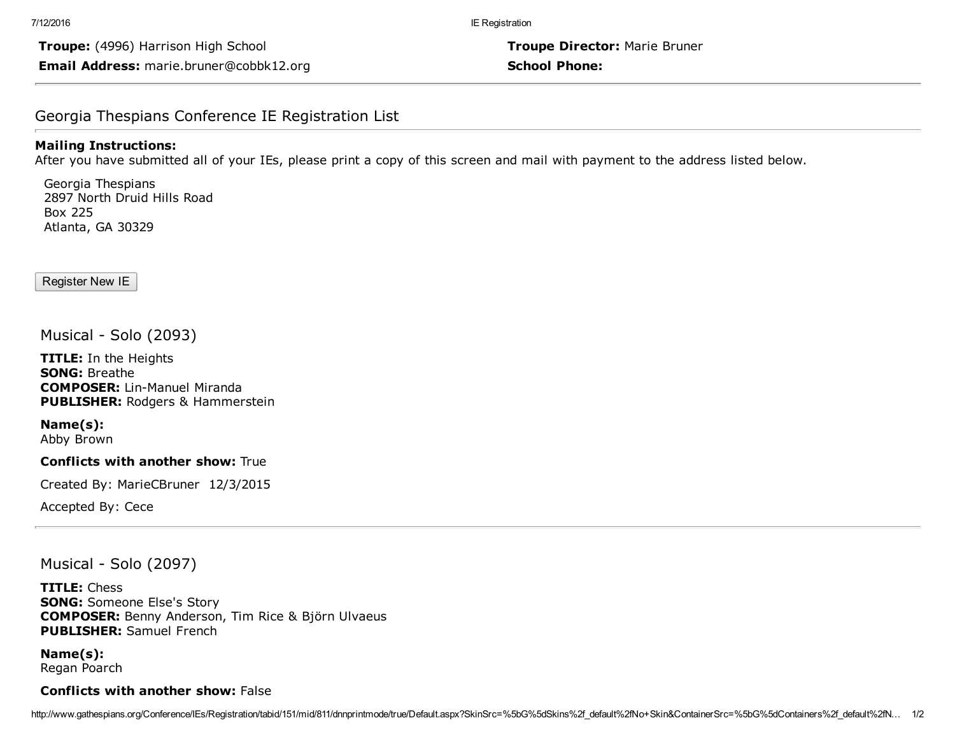Troupe: (4996) Harrison High School Troupe Director: Marie Bruner Email Address: marie.bruner@cobbk12.org entitled and the school Phone:

## Georgia Thespians Conference IE Registration List

#### Mailing Instructions:

After you have submitted all of your IEs, please print a copy of this screen and mail with payment to the address listed below.

Georgia Thespians 2897 North Druid Hills Road Box 225 Atlanta, GA 30329

Register New IE

Musical - Solo (2093)

**TITLE:** In the Heights SONG: Breathe **COMPOSER: Lin-Manuel Miranda** PUBLISHER: Rodgers & Hammerstein

Name(s): Abby Brown

#### Conflicts with another show: True

Created By: MarieCBruner 12/3/2015

Accepted By: Cece

Musical - Solo (2097)

TITLE: Chess SONG: Someone Else's Story COMPOSER: Benny Anderson, Tim Rice & Björn Ulvaeus PUBLISHER: Samuel French

Name(s): Regan Poarch

### Conflicts with another show: False